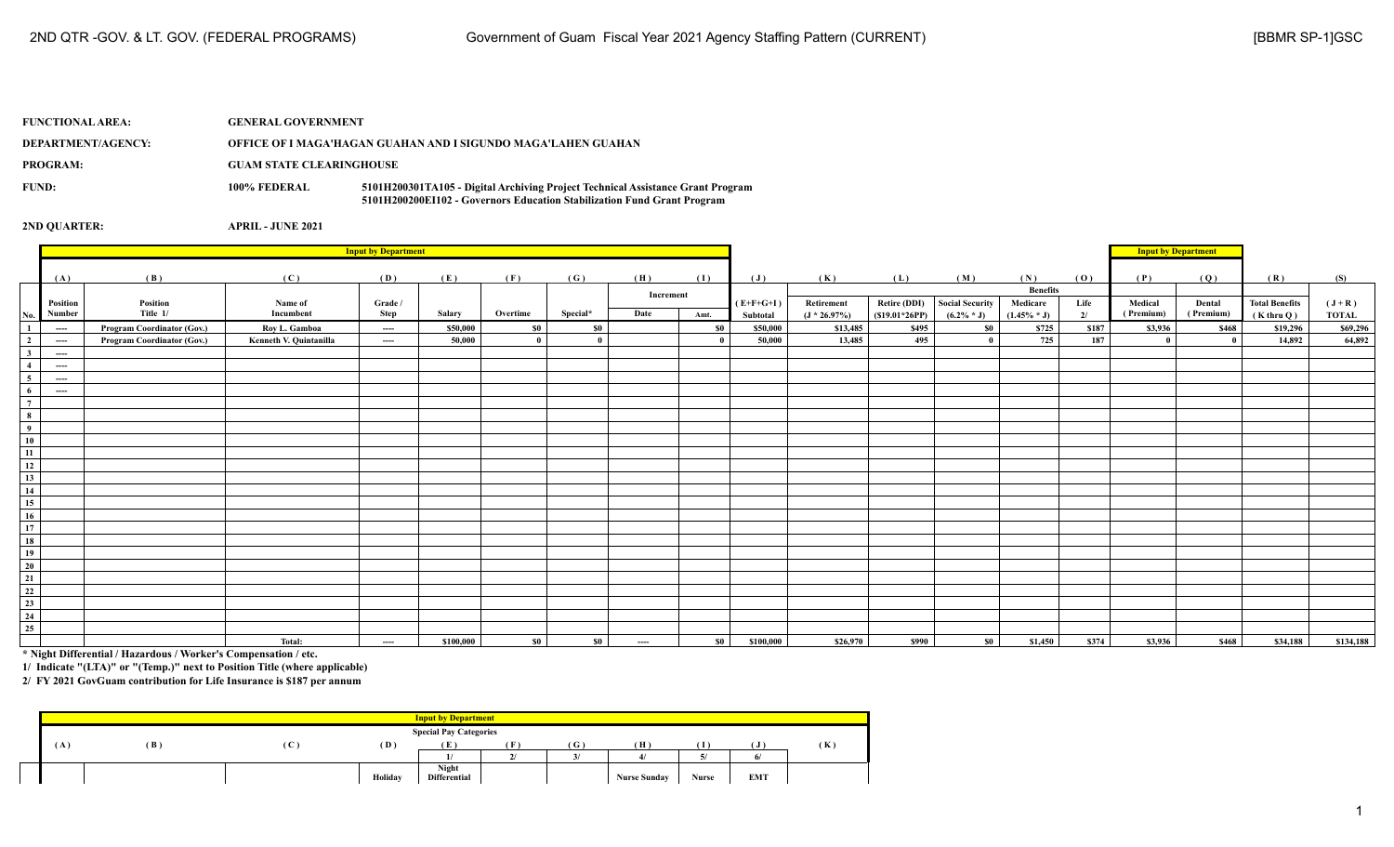| <b>FUNCTIONAL AREA:</b> | <b>GENERAL GOVERNMENT</b>       |                                                                                                                                                            |
|-------------------------|---------------------------------|------------------------------------------------------------------------------------------------------------------------------------------------------------|
| DEPARTMENT/AGENCY:      |                                 | OFFICE OF I MAGA'HAGAN GUAHAN AND I SIGUNDO MAGA'LAHEN GUAHAN                                                                                              |
| <b>PROGRAM:</b>         | <b>GUAM STATE CLEARINGHOUSE</b> |                                                                                                                                                            |
| FUND:                   | 100% FEDERAL                    | 5101H200301TA105 - Digital Archiving Project Technical Assistance Grant Program<br>5101H200200EI102 - Governors Education Stabilization Fund Grant Program |

|                                 |                                                         |                                   |                        |          |           |          |          |           |           | <b>Input by Department</b> |                 |                     |                 |                 |       |           |           |                       |              |
|---------------------------------|---------------------------------------------------------|-----------------------------------|------------------------|----------|-----------|----------|----------|-----------|-----------|----------------------------|-----------------|---------------------|-----------------|-----------------|-------|-----------|-----------|-----------------------|--------------|
|                                 |                                                         |                                   |                        |          |           |          |          |           |           |                            |                 |                     |                 |                 |       |           |           |                       |              |
|                                 | (A)                                                     | (B)                               | (C)                    | (D)      | (E)       | (F)      | (G)      | (H)       | (I)       | $(\mathbf{J})$             | (K)             | (L)                 | (M)             | (N)             | (0)   | (P)       | (Q)       | (R)                   | (S)          |
|                                 |                                                         |                                   |                        |          |           |          |          | Increment |           |                            |                 |                     |                 | <b>Benefits</b> |       |           |           |                       |              |
|                                 | Position                                                | Position                          | Name of                | Grade /  |           |          |          |           |           | $(E+F+G+I)$                | Retirement      | <b>Retire (DDI)</b> | Social Security | Medicare        | Life  | Medical   | Dental    | <b>Total Benefits</b> | $(J+R)$      |
| No.                             | Number                                                  | Title 1/                          | Incumbent              | Step     | Salary    | Overtime | Special* | Date      | Amt.      | Subtotal                   | $(J * 26.97\%)$ | $(S19.01*26PP)$     | $(6.2\% * J)$   | $(1.45\% * J)$  | 2/    | (Premium) | (Premium) | $(K$ thru $O)$        | <b>TOTAL</b> |
| $\mathbf{1}$                    | $-\!-\!-\!$                                             | <b>Program Coordinator (Gov.)</b> | Rov L. Gamboa          | $\cdots$ | \$50,000  | \$0      | \$0      |           | <b>SO</b> | \$50,000                   | \$13,485        | \$495               | \$0             | \$725           | \$187 | \$3,936   | \$468     | \$19,296              | \$69,296     |
| $\overline{2}$                  | $---$                                                   | <b>Program Coordinator (Gov.)</b> | Kenneth V. Quintanilla | ----     | 50,000    | $\bf{0}$ | - 0      |           |           | 50,000                     | 13,485          | 495                 |                 | 725             | 187   | - 0       | $\bf{0}$  | 14,892                | 64,892       |
| $\mathbf{3}$                    | $---$                                                   |                                   |                        |          |           |          |          |           |           |                            |                 |                     |                 |                 |       |           |           |                       |              |
| $\overline{4}$                  | $---$                                                   |                                   |                        |          |           |          |          |           |           |                            |                 |                     |                 |                 |       |           |           |                       |              |
| 5 <sup>5</sup>                  | $---$                                                   |                                   |                        |          |           |          |          |           |           |                            |                 |                     |                 |                 |       |           |           |                       |              |
| 6 <sup>1</sup><br>$\frac{1}{7}$ | $\cdots$                                                |                                   |                        |          |           |          |          |           |           |                            |                 |                     |                 |                 |       |           |           |                       |              |
|                                 |                                                         |                                   |                        |          |           |          |          |           |           |                            |                 |                     |                 |                 |       |           |           |                       |              |
| $\frac{1}{9}$                   |                                                         |                                   |                        |          |           |          |          |           |           |                            |                 |                     |                 |                 |       |           |           |                       |              |
|                                 |                                                         |                                   |                        |          |           |          |          |           |           |                            |                 |                     |                 |                 |       |           |           |                       |              |
| 10                              |                                                         |                                   |                        |          |           |          |          |           |           |                            |                 |                     |                 |                 |       |           |           |                       |              |
| 11                              |                                                         |                                   |                        |          |           |          |          |           |           |                            |                 |                     |                 |                 |       |           |           |                       |              |
| 12<br>$\overline{13}$           |                                                         |                                   |                        |          |           |          |          |           |           |                            |                 |                     |                 |                 |       |           |           |                       |              |
| $\overline{14}$                 |                                                         |                                   |                        |          |           |          |          |           |           |                            |                 |                     |                 |                 |       |           |           |                       |              |
| 15                              |                                                         |                                   |                        |          |           |          |          |           |           |                            |                 |                     |                 |                 |       |           |           |                       |              |
| 16                              |                                                         |                                   |                        |          |           |          |          |           |           |                            |                 |                     |                 |                 |       |           |           |                       |              |
| $\overline{17}$                 |                                                         |                                   |                        |          |           |          |          |           |           |                            |                 |                     |                 |                 |       |           |           |                       |              |
| 18                              |                                                         |                                   |                        |          |           |          |          |           |           |                            |                 |                     |                 |                 |       |           |           |                       |              |
| 19                              |                                                         |                                   |                        |          |           |          |          |           |           |                            |                 |                     |                 |                 |       |           |           |                       |              |
| $\overline{20}$                 |                                                         |                                   |                        |          |           |          |          |           |           |                            |                 |                     |                 |                 |       |           |           |                       |              |
| 21                              |                                                         |                                   |                        |          |           |          |          |           |           |                            |                 |                     |                 |                 |       |           |           |                       |              |
|                                 |                                                         |                                   |                        |          |           |          |          |           |           |                            |                 |                     |                 |                 |       |           |           |                       |              |
| $\frac{22}{23}$                 |                                                         |                                   |                        |          |           |          |          |           |           |                            |                 |                     |                 |                 |       |           |           |                       |              |
| 24                              |                                                         |                                   |                        |          |           |          |          |           |           |                            |                 |                     |                 |                 |       |           |           |                       |              |
|                                 |                                                         |                                   |                        |          |           |          |          |           |           |                            |                 |                     |                 |                 |       |           |           |                       |              |
| $\frac{25}{25}$                 |                                                         |                                   | Total:                 | $\cdots$ | \$100,000 | \$0      | \$0      | $\cdots$  | <b>SO</b> | \$100,000                  | \$26,970        | \$990               | \$0             | \$1,450         | \$374 | \$3,936   | \$468     | \$34,188              | \$134,188    |
|                                 | $\sim$ $\sim$ $\sim$ $\sim$ $\sim$ $\sim$ $\sim$ $\sim$ | .                                 |                        |          |           |          |          |           |           |                            |                 |                     |                 |                 |       |           |           |                       |              |

**\* Night Differential / Hazardous / Worker's Compensation / etc.**

**1/ Indicate "(LTA)" or "(Temp.)" next to Position Title (where applicable)**

|    |     |              |         | <b>Input by Department</b>    |            |     |                     |       |            |     |
|----|-----|--------------|---------|-------------------------------|------------|-----|---------------------|-------|------------|-----|
|    |     |              |         | <b>Special Pay Categories</b> |            |     |                     |       |            |     |
| ΙA | (B) | $\mathbf{C}$ | (D)     | Έ.                            | <b>TEX</b> | (G) | (H)                 |       |            | (K) |
|    |     |              |         |                               | $\sim$     |     |                     |       |            |     |
|    |     |              |         | Night                         |            |     |                     |       |            |     |
|    |     |              | Holiday | <b>Differential</b>           |            |     | <b>Nurse Sunday</b> | Nurse | <b>EMT</b> |     |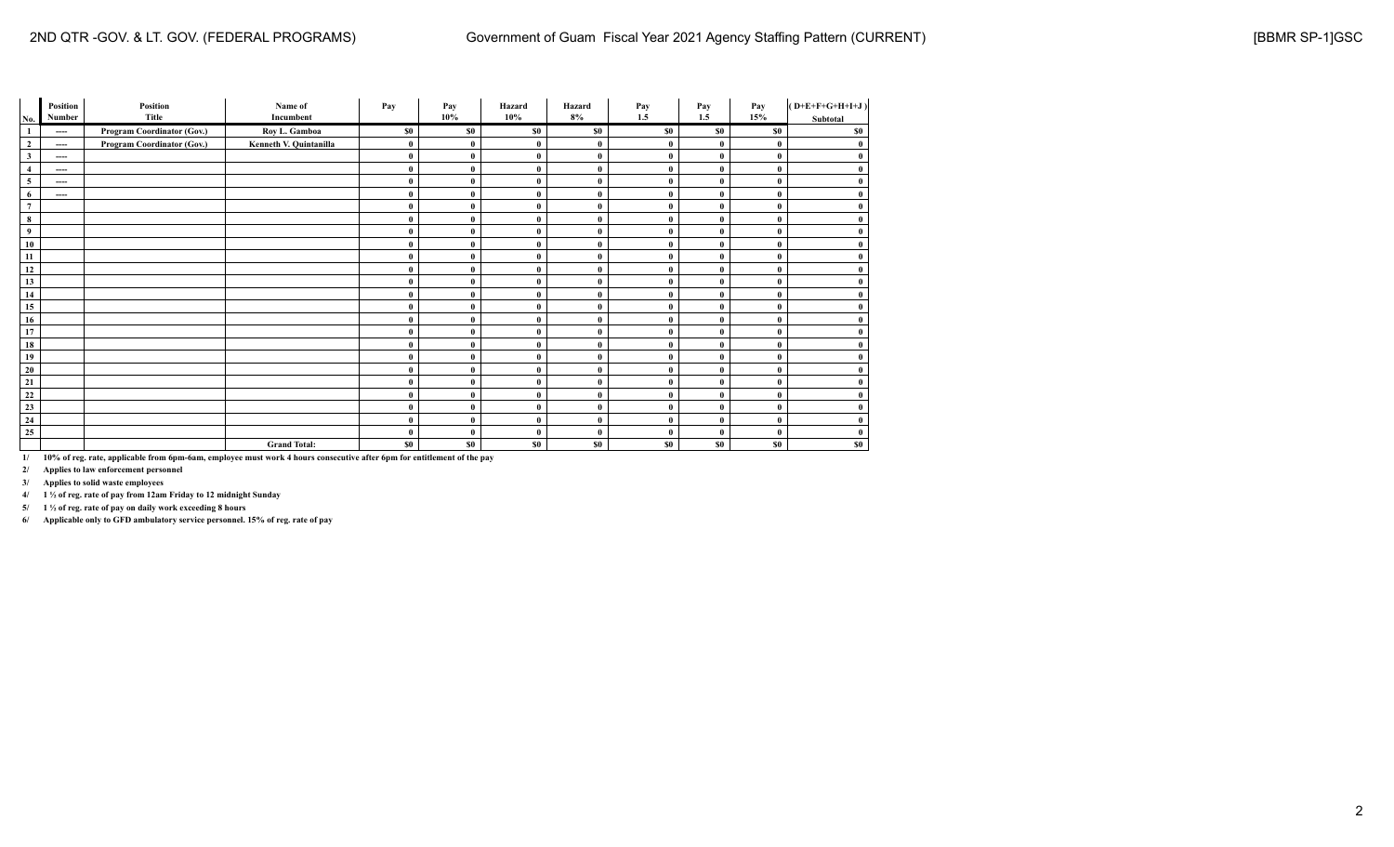|                | Position               | Position                   | Name of                | Pay      | Pay      | Hazard         | Hazard       | Pay          | Pay          | Pay          | $(D+E+F+G+H+I+J)$ |
|----------------|------------------------|----------------------------|------------------------|----------|----------|----------------|--------------|--------------|--------------|--------------|-------------------|
| No.            | Number                 | Title                      | Incumbent              |          | 10%      | $10\%$         | 8%           | 1.5          | 1.5          | 15%          | Subtotal          |
|                | ----                   | Program Coordinator (Gov.) | Roy L. Gamboa          | \$0      | \$0      | \$0            | \$0          | \$0          | \$0          | \$0          | \$0               |
| $\overline{2}$ | ----                   | Program Coordinator (Gov.) | Kenneth V. Quintanilla | $\bf{0}$ |          | 0              | $\theta$     | 0            | $\mathbf{0}$ | $\mathbf{0}$ | $\bf{0}$          |
| $\mathbf{3}$   | $\qquad \qquad \cdots$ |                            |                        | $\bf{0}$ | 0        | $\bf{0}$       | $\bf{0}$     | $\mathbf{0}$ | $\mathbf{0}$ | $\theta$     | $\bf{0}$          |
| $\overline{4}$ | $\qquad \qquad \cdots$ |                            |                        | $\bf{0}$ |          | $\bf{0}$       | $\bf{0}$     | $\theta$     | $\mathbf{0}$ | $\theta$     | $\bf{0}$          |
| 5              | $\qquad \qquad \cdots$ |                            |                        | $\bf{0}$ | $\theta$ | 0              | $\theta$     | 0            | $\mathbf{0}$ | $\theta$     | $\bf{0}$          |
| 6              | $\qquad \qquad \cdots$ |                            |                        | $\bf{0}$ | 0        | $\mathbf{0}$   | $\theta$     | $\theta$     | $\mathbf{0}$ | $\theta$     | $\bf{0}$          |
| $\overline{7}$ |                        |                            |                        | $\bf{0}$ | 0        | $\mathbf{0}$   | $\theta$     | $\theta$     | $\mathbf{0}$ | $\theta$     | $\bf{0}$          |
| 8              |                        |                            |                        | $\bf{0}$ | 0        | $\mathbf{0}$   | $\theta$     | 0            | $\mathbf{0}$ | $\theta$     | $\bf{0}$          |
| 9              |                        |                            |                        | $\bf{0}$ | 0        | $\mathbf{0}$   | $\theta$     | $\theta$     | $\mathbf{0}$ | $\mathbf{0}$ | $\bf{0}$          |
| 10             |                        |                            |                        | $\bf{0}$ |          | $\bf{0}$       | $\theta$     | $\theta$     | $\mathbf{0}$ | $\theta$     | $\bf{0}$          |
| 11             |                        |                            |                        | $\bf{0}$ | 0        | $\mathbf{0}$   | $\theta$     | 0            | $\mathbf{0}$ | $\theta$     | $\bf{0}$          |
| 12             |                        |                            |                        | $\bf{0}$ | 0        | $\bf{0}$       | $\theta$     | $\mathbf{0}$ | $\mathbf{0}$ | $\theta$     | $\bf{0}$          |
| 13             |                        |                            |                        | $\bf{0}$ |          | $\mathbf{0}$   | $\theta$     | $\theta$     | $\mathbf{0}$ | $\mathbf{0}$ | $\bf{0}$          |
| 14             |                        |                            |                        | $\bf{0}$ | 0        | $\mathbf{0}$   | $\theta$     | 0            | $\mathbf{0}$ | $\theta$     | $\bf{0}$          |
| 15             |                        |                            |                        | $\bf{0}$ | 0        | $\bf{0}$       | $\theta$     | 0            | $\mathbf{0}$ | $\theta$     | $\bf{0}$          |
| 16             |                        |                            |                        | $\bf{0}$ | 0        | $\bf{0}$       | $\theta$     | $\theta$     | $\mathbf{0}$ | $\theta$     | $\bf{0}$          |
| 17             |                        |                            |                        | $\bf{0}$ | 0        | 0              | $\theta$     | 0            | $\mathbf{0}$ | $\theta$     | $\bf{0}$          |
| 18             |                        |                            |                        | $\bf{0}$ |          | 0              | $\mathbf{0}$ | 0            | $\mathbf{0}$ | $\theta$     | $\bf{0}$          |
| 19             |                        |                            |                        | $\bf{0}$ | 0        | $\bf{0}$       | $\mathbf{0}$ | $\mathbf{0}$ | $\mathbf{0}$ | $\theta$     | $\bf{0}$          |
| 20             |                        |                            |                        | $\bf{0}$ |          | $\mathbf{0}$   | $\bf{0}$     | $\theta$     | $\mathbf{0}$ | $\theta$     | $\bf{0}$          |
| 21             |                        |                            |                        | $\bf{0}$ | 0        | $\mathbf{0}$   | $\bf{0}$     | $\mathbf{0}$ | $\mathbf{0}$ | $\theta$     | $\bf{0}$          |
| 22             |                        |                            |                        | $\bf{0}$ | 0        | $\mathbf{0}$   | $\theta$     | $\theta$     | $\mathbf{0}$ | $\theta$     | $\bf{0}$          |
| 23             |                        |                            |                        | $\bf{0}$ | 0        | $\bf{0}$       | $\bf{0}$     | $\mathbf{0}$ | $\mathbf{0}$ | $\theta$     | $\bf{0}$          |
| 24             |                        |                            |                        | $\bf{0}$ | 0        | 0              | $\theta$     | $\mathbf{0}$ | $\mathbf{0}$ | $\theta$     | $\bf{0}$          |
| 25             |                        |                            |                        | $\bf{0}$ |          | 0              | $\theta$     | $\mathbf{0}$ | $\theta$     | $\theta$     | $\bf{0}$          |
|                |                        |                            | <b>Grand Total:</b>    | \$0      | \$0      | S <sub>0</sub> | \$0          | \$0          | \$0          | \$0          | \$0               |

**2/ Applies to law enforcement personnel**

**3/ Applies to solid waste employees**

 $\sim$ 

**4/ 1 ½ of reg. rate of pay from 12am Friday to 12 midnight Sunday**

**5/ 1 ½ of reg. rate of pay on daily work exceeding 8 hours**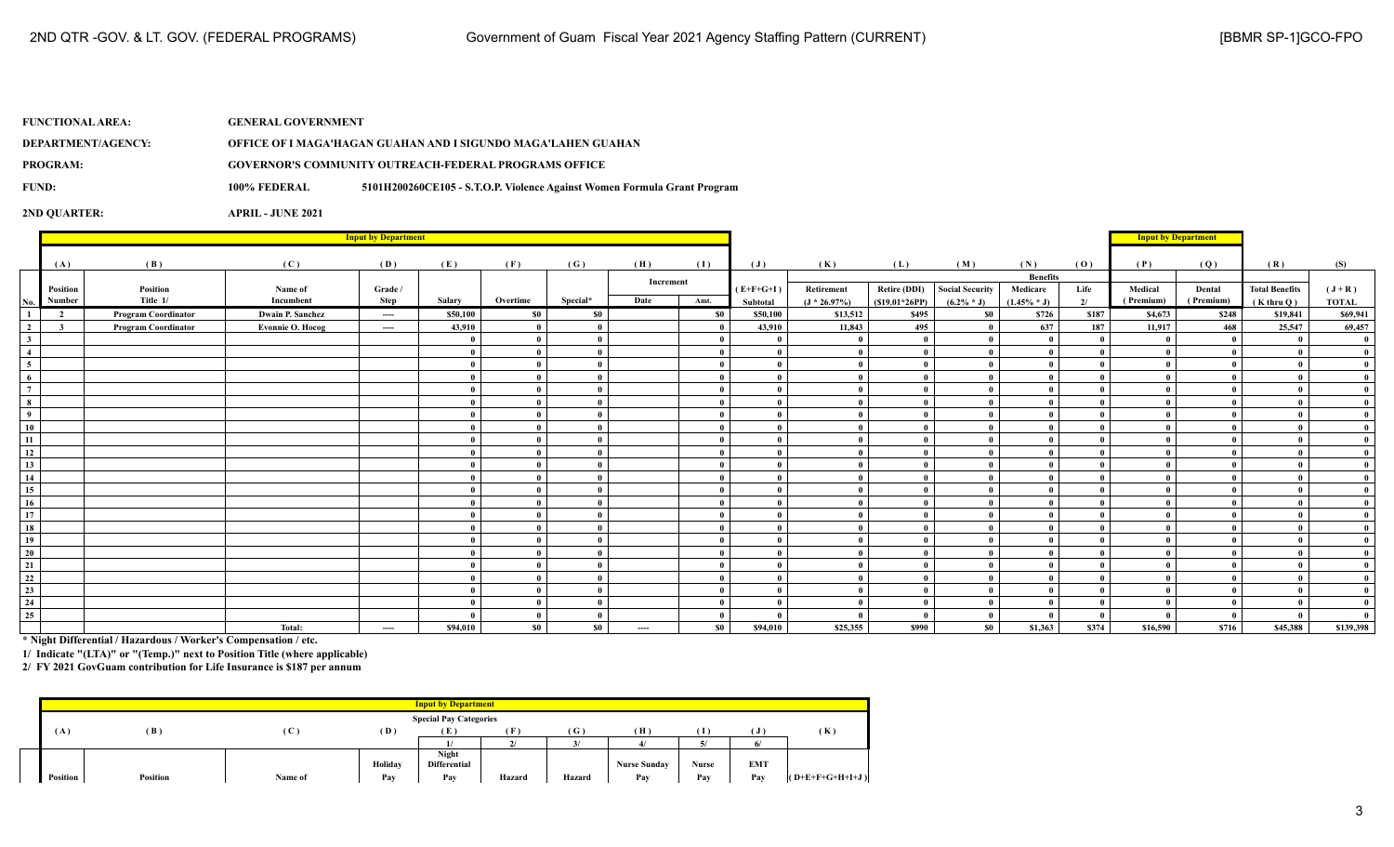| <b>FUNCTIONAL AREA:</b> | <b>GENERAL GOVERNMENT</b> |                                                                          |
|-------------------------|---------------------------|--------------------------------------------------------------------------|
| DEPARTMENT/AGENCY:      |                           | OFFICE OF I MAGA'HAGAN GUAHAN AND I SIGUNDO MAGA'LAHEN GUAHAN            |
| PROGRAM:                |                           | <b>GOVERNOR'S COMMUNITY OUTREACH-FEDERAL PROGRAMS OFFICE</b>             |
| FUND:                   | 100% FEDERAL              | 5101H200260CE105 - S.T.O.P. Violence Against Women Formula Grant Program |
|                         |                           |                                                                          |

|                         | <b>Input by Department</b> |                            |                         |                   |          |              |              |           |           |                         |                               |                                        |                                         |                            |            | <b>Input by Department</b> |                     |                                       |                         |
|-------------------------|----------------------------|----------------------------|-------------------------|-------------------|----------|--------------|--------------|-----------|-----------|-------------------------|-------------------------------|----------------------------------------|-----------------------------------------|----------------------------|------------|----------------------------|---------------------|---------------------------------------|-------------------------|
|                         |                            |                            |                         |                   |          |              |              |           |           |                         |                               |                                        |                                         |                            |            |                            |                     |                                       |                         |
|                         | (A)                        | (B)                        | (C)                     | (D)               | (E)      | (F)          | (G)          | (H)       | (I)       | $(\mathbf{J})$          | (K)                           | (L)                                    | (M)                                     | (N)                        | (0)        | (P)                        | (Q)                 | (R)                                   | (S)                     |
|                         |                            |                            |                         |                   |          |              |              | Increment |           |                         |                               |                                        |                                         | <b>Benefits</b>            |            | Medical                    |                     |                                       |                         |
| No.                     | Position<br>Number         | Position<br>Title 1/       | Name of<br>Incumbent    | Grade /<br>Step   | Salary   | Overtime     | Special*     | Date      | Amt.      | $(E+F+G+I)$<br>Subtotal | Retirement<br>$(J * 26.97\%)$ | <b>Retire (DDI)</b><br>$(S19.01*26PP)$ | <b>Social Security</b><br>$(6.2\% * J)$ | Medicare<br>$(1.45\% * J)$ | Life<br>2/ | (Premium)                  | Dental<br>(Premium) | <b>Total Benefits</b><br>$(K$ thru Q) | $(J+R)$<br><b>TOTAL</b> |
| $\mathbf{1}$            | $\overline{2}$             | <b>Program Coordinator</b> | Dwain P. Sanchez        |                   | \$50,100 | $\$0$        | \$0          |           | \$0       | \$50,100                | \$13,512                      | \$495                                  | \$0                                     | \$726                      | \$187      | \$4,673                    | \$248               | \$19,841                              | \$69,941                |
| $\overline{2}$          | $\overline{\mathbf{3}}$    | <b>Program Coordinator</b> | <b>Evonnie O. Hocog</b> | $\cdots$<br>$---$ | 43,910   | $\bf{0}$     | $\bf{0}$     |           |           | 43,910                  | 11,843                        | 495                                    |                                         | 637                        | 187        | 11,917                     | 468                 | 25,547                                | 69,457                  |
| $\mathbf{3}$            |                            |                            |                         |                   |          | $\mathbf{0}$ | $\mathbf{0}$ |           |           |                         |                               |                                        |                                         | $\mathbf{0}$               |            |                            | $\theta$            |                                       |                         |
| $\overline{4}$          |                            |                            |                         |                   |          | $\bf{0}$     | $\bf{0}$     |           |           |                         | $\theta$                      |                                        |                                         | $\theta$                   |            |                            |                     |                                       |                         |
| $\overline{5}$          |                            |                            |                         |                   |          | $\mathbf{0}$ | $\mathbf{0}$ |           |           |                         | $\theta$                      | $\mathbf{0}$                           |                                         | $\theta$                   |            |                            |                     |                                       |                         |
| 6                       |                            |                            |                         |                   |          | $\mathbf{0}$ | $\mathbf{0}$ |           |           | - 0                     | $\mathbf{0}$                  |                                        |                                         | $\mathbf{a}$               |            |                            |                     |                                       |                         |
| $\overline{7}$          |                            |                            |                         |                   |          | $\mathbf{0}$ | $\mathbf{0}$ |           |           |                         | $\mathbf{0}$                  |                                        |                                         | $\theta$                   |            |                            |                     |                                       |                         |
| $\overline{\mathbf{8}}$ |                            |                            |                         |                   |          | $\theta$     | $\mathbf{0}$ |           |           |                         | $\theta$                      |                                        |                                         |                            |            |                            |                     |                                       |                         |
| $\overline{9}$          |                            |                            |                         |                   |          | $\mathbf{0}$ | $\mathbf{0}$ |           |           |                         | $\theta$                      |                                        |                                         | $\theta$                   |            |                            |                     |                                       |                         |
| 10                      |                            |                            |                         |                   |          | $\mathbf{0}$ | $\mathbf{0}$ |           |           |                         | $\theta$                      |                                        |                                         | $\theta$                   |            |                            |                     |                                       |                         |
| $\overline{11}$         |                            |                            |                         |                   |          | $\mathbf{0}$ | $\bf{0}$     |           |           |                         |                               |                                        |                                         | $\theta$                   |            |                            |                     |                                       |                         |
| $\overline{12}$         |                            |                            |                         |                   |          | $\theta$     | $\bf{0}$     |           |           |                         |                               |                                        |                                         |                            |            |                            |                     |                                       |                         |
| $\overline{13}$         |                            |                            |                         |                   |          | $\mathbf{0}$ | $\mathbf{0}$ |           |           |                         |                               |                                        |                                         |                            |            |                            |                     |                                       |                         |
| $\overline{14}$         |                            |                            |                         |                   |          | $\mathbf{0}$ | $\mathbf{0}$ |           |           |                         | $\mathbf{0}$                  |                                        |                                         | $\theta$                   |            |                            |                     |                                       |                         |
| $\overline{15}$         |                            |                            |                         |                   |          | $\mathbf{0}$ | $\mathbf{0}$ |           |           |                         | $\theta$                      |                                        |                                         | $\theta$                   |            |                            |                     |                                       |                         |
| 16                      |                            |                            |                         |                   |          | $\mathbf{0}$ | $\mathbf{0}$ |           |           |                         | $\theta$                      |                                        |                                         | $\theta$                   |            |                            |                     |                                       |                         |
| $\overline{17}$         |                            |                            |                         |                   |          | $\bf{0}$     | $\mathbf{0}$ |           |           |                         | $\mathbf{0}$                  |                                        |                                         | $\mathbf{0}$               |            |                            |                     |                                       |                         |
| $\overline{18}$         |                            |                            |                         |                   |          | $\mathbf{0}$ | $\mathbf{0}$ |           |           |                         | $\theta$                      |                                        |                                         | $\theta$                   |            |                            |                     |                                       |                         |
| 19                      |                            |                            |                         |                   |          | $\mathbf{0}$ | $\mathbf{0}$ |           |           |                         | $\theta$                      |                                        |                                         | $\mathbf{a}$               |            |                            |                     |                                       |                         |
| $20\,$                  |                            |                            |                         |                   |          | $\theta$     | $\mathbf{0}$ |           |           |                         |                               |                                        |                                         |                            |            |                            |                     |                                       |                         |
| $\overline{21}$         |                            |                            |                         |                   |          | $\theta$     | $\mathbf{0}$ |           |           |                         |                               |                                        |                                         |                            |            |                            |                     |                                       |                         |
| $\frac{22}{23}$         |                            |                            |                         |                   |          | $\theta$     | $\mathbf{0}$ |           |           |                         |                               |                                        |                                         |                            |            |                            |                     |                                       |                         |
|                         |                            |                            |                         |                   |          | $\mathbf{0}$ | $\mathbf{0}$ |           |           |                         | $\theta$                      |                                        |                                         |                            |            |                            |                     |                                       |                         |
| $\overline{24}$         |                            |                            |                         |                   | -0       | $\mathbf{0}$ | $\mathbf{0}$ |           |           |                         | $\mathbf{0}$                  |                                        |                                         | $\theta$                   |            |                            |                     |                                       |                         |
| 25                      |                            |                            |                         |                   |          | $\bf{0}$     | $\mathbf{0}$ |           |           |                         | $\Omega$                      |                                        |                                         |                            |            |                            |                     |                                       |                         |
|                         |                            |                            | Total:                  | $-$               | \$94,010 | \$0          | \$0          | $---$     | <b>SO</b> | \$94,010                | \$25,355                      | \$990                                  | \$0                                     | \$1,363                    | \$374      | \$16,590                   | \$716               | \$45,388                              | \$139,398               |

**\* Night Differential / Hazardous / Worker's Compensation / etc.**

**1/ Indicate "(LTA)" or "(Temp.)" next to Position Title (where applicable)**

|                 |                 |         |         | <b>Input by Department</b>    |        |              |                     |       |            |                   |
|-----------------|-----------------|---------|---------|-------------------------------|--------|--------------|---------------------|-------|------------|-------------------|
|                 |                 |         |         | <b>Special Pay Categories</b> |        |              |                     |       |            |                   |
| (A)             | (B)             | (C      | (D)     | - 12                          | Œ.     | (G)          | (H)                 | Т     |            | (K)               |
|                 |                 |         |         |                               |        | $\mathbf{z}$ |                     |       | 6          |                   |
|                 |                 |         |         | Night                         |        |              |                     |       |            |                   |
|                 |                 |         | Holiday | <b>Differential</b>           |        |              | <b>Nurse Sunday</b> | Nurse | <b>EMT</b> |                   |
| <b>Position</b> | <b>Position</b> | Name of | Pay     | Pay                           | Hazard | Hazard       | Pay                 | Pay   | Pay        | $(O+E+F+G+H+I+J)$ |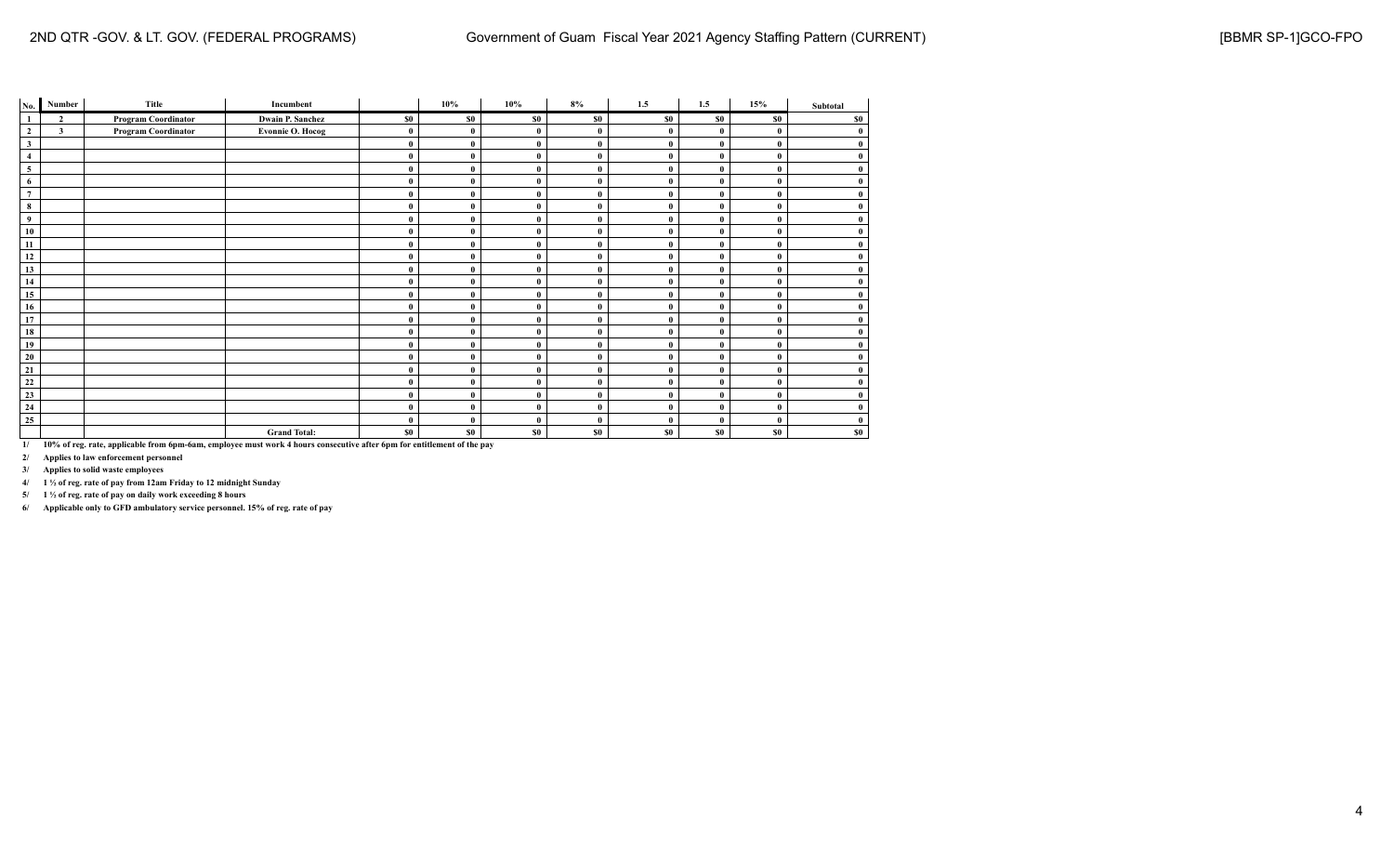| No.            | Number                  | Title                      | Incumbent               |          | 10%          | 10%          | $8\%$        | 1.5      | 1.5      | 15% | Subtotal     |
|----------------|-------------------------|----------------------------|-------------------------|----------|--------------|--------------|--------------|----------|----------|-----|--------------|
| $\mathbf{1}$   | $\overline{2}$          | <b>Program Coordinator</b> | <b>Dwain P. Sanchez</b> | \$0      | \$0          | \$0          | \$0          | \$0      | \$0      | \$0 | \$0          |
| $\mathbf{2}$   | $\overline{\mathbf{3}}$ | Program Coordinator        | <b>Evonnie O. Hocog</b> | $\bf{0}$ | $\theta$     | $\mathbf{0}$ | $\mathbf{0}$ | $\bf{0}$ | $\theta$ |     | $\bf{0}$     |
| $\mathbf{3}$   |                         |                            |                         | $\bf{0}$ | $\theta$     | $\mathbf{0}$ | $\mathbf{0}$ | $\theta$ | $\theta$ |     | $\bf{0}$     |
| $\overline{4}$ |                         |                            |                         | $\bf{0}$ | $\mathbf{0}$ | $\mathbf{0}$ | $\mathbf{0}$ | $\theta$ | $\theta$ |     | $\bf{0}$     |
| 5              |                         |                            |                         | $\bf{0}$ | $\theta$     | $\mathbf{0}$ | $\bf{0}$     | $\bf{0}$ | $\theta$ |     | $\bf{0}$     |
| 6              |                         |                            |                         | $\bf{0}$ |              | $\mathbf{0}$ | $\bf{0}$     | $\bf{0}$ | $\bf{0}$ |     | $\bf{0}$     |
| $\overline{7}$ |                         |                            |                         | $\bf{0}$ | $\theta$     | $\mathbf{0}$ | $\theta$     | $\theta$ | $\theta$ |     | $\mathbf{0}$ |
| 8              |                         |                            |                         | $\bf{0}$ | $\theta$     | $\mathbf{0}$ | $\mathbf{0}$ | $\theta$ | $\theta$ |     | $\bf{0}$     |
| 9              |                         |                            |                         | $\bf{0}$ | $\mathbf 0$  | $\mathbf{0}$ | $\mathbf{0}$ | $\theta$ | $\theta$ |     | $\bf{0}$     |
| 10             |                         |                            |                         | $\bf{0}$ | $\theta$     | $\mathbf{0}$ | $\bf{0}$     | $\bf{0}$ | $\theta$ |     | $\bf{0}$     |
| 11             |                         |                            |                         | $\bf{0}$ | $\theta$     | $\mathbf{0}$ | $\bf{0}$     | $\theta$ | $\theta$ |     | $\mathbf{0}$ |
| 12             |                         |                            |                         | $\bf{0}$ | $\theta$     | $\mathbf{0}$ | $\theta$     | $\theta$ | $\theta$ |     | $\mathbf{0}$ |
| 13             |                         |                            |                         | $\bf{0}$ |              | $\mathbf{0}$ | $\mathbf{0}$ | $\theta$ | $\theta$ |     | $\bf{0}$     |
| 14             |                         |                            |                         | $\bf{0}$ | $\theta$     | $\bf{0}$     | $\bf{0}$     | $\bf{0}$ | $\bf{0}$ |     | $\bf{0}$     |
| 15             |                         |                            |                         | $\bf{0}$ | $\theta$     | $\mathbf{0}$ | $\mathbf{0}$ | $\bf{0}$ | $\theta$ | 0   | $\bf{0}$     |
| 16             |                         |                            |                         | $\bf{0}$ | $\mathbf{0}$ | $\mathbf{0}$ | $\bf{0}$     | $\theta$ | $\theta$ |     | $\bf{0}$     |
| 17             |                         |                            |                         | $\bf{0}$ | $\theta$     | $\mathbf{0}$ | $\theta$     | $\theta$ | $\theta$ |     | $\bf{0}$     |
| 18             |                         |                            |                         | $\bf{0}$ |              | $\mathbf{0}$ | $\bf{0}$     | $\theta$ | $\theta$ |     | $\bf{0}$     |
| 19             |                         |                            |                         | $\bf{0}$ | $\theta$     | $\bf{0}$     | $\bf{0}$     | $\bf{0}$ | $\bf{0}$ |     | $\bf{0}$     |
| 20             |                         |                            |                         | $\bf{0}$ | $\mathbf 0$  | $\mathbf{0}$ | $\bf{0}$     | $\bf{0}$ | $\bf{0}$ |     | $\bf{0}$     |
| 21             |                         |                            |                         | $\bf{0}$ | $\theta$     | $\mathbf{0}$ | $\bf{0}$     | $\theta$ | $\theta$ |     | $\mathbf{0}$ |
| $\bf{22}$      |                         |                            |                         | $\bf{0}$ | $\theta$     | $\mathbf{0}$ | $\mathbf{0}$ | $\theta$ | $\theta$ |     | $\bf{0}$     |
| 23             |                         |                            |                         | $\bf{0}$ |              | $\mathbf{0}$ | $\mathbf{0}$ | $\theta$ | $\theta$ |     | $\bf{0}$     |
| 24             |                         |                            |                         | $\bf{0}$ | $\theta$     | $\mathbf{0}$ | $\mathbf{0}$ | $\theta$ | $\bf{0}$ |     | $\bf{0}$     |
| 25             |                         |                            |                         | $\theta$ | $\theta$     | $\mathbf{0}$ | $\bf{0}$     | $\theta$ | $\theta$ |     | $\bf{0}$     |
|                |                         |                            | <b>Grand Total:</b>     | \$0      | \$0          | \$0          | \$0          | \$0      | \$0      | \$0 | \$0          |

**2/ Applies to law enforcement personnel**

**3/ Applies to solid waste employees**

**4/ 1 ½ of reg. rate of pay from 12am Friday to 12 midnight Sunday**

**5/ 1 ½ of reg. rate of pay on daily work exceeding 8 hours**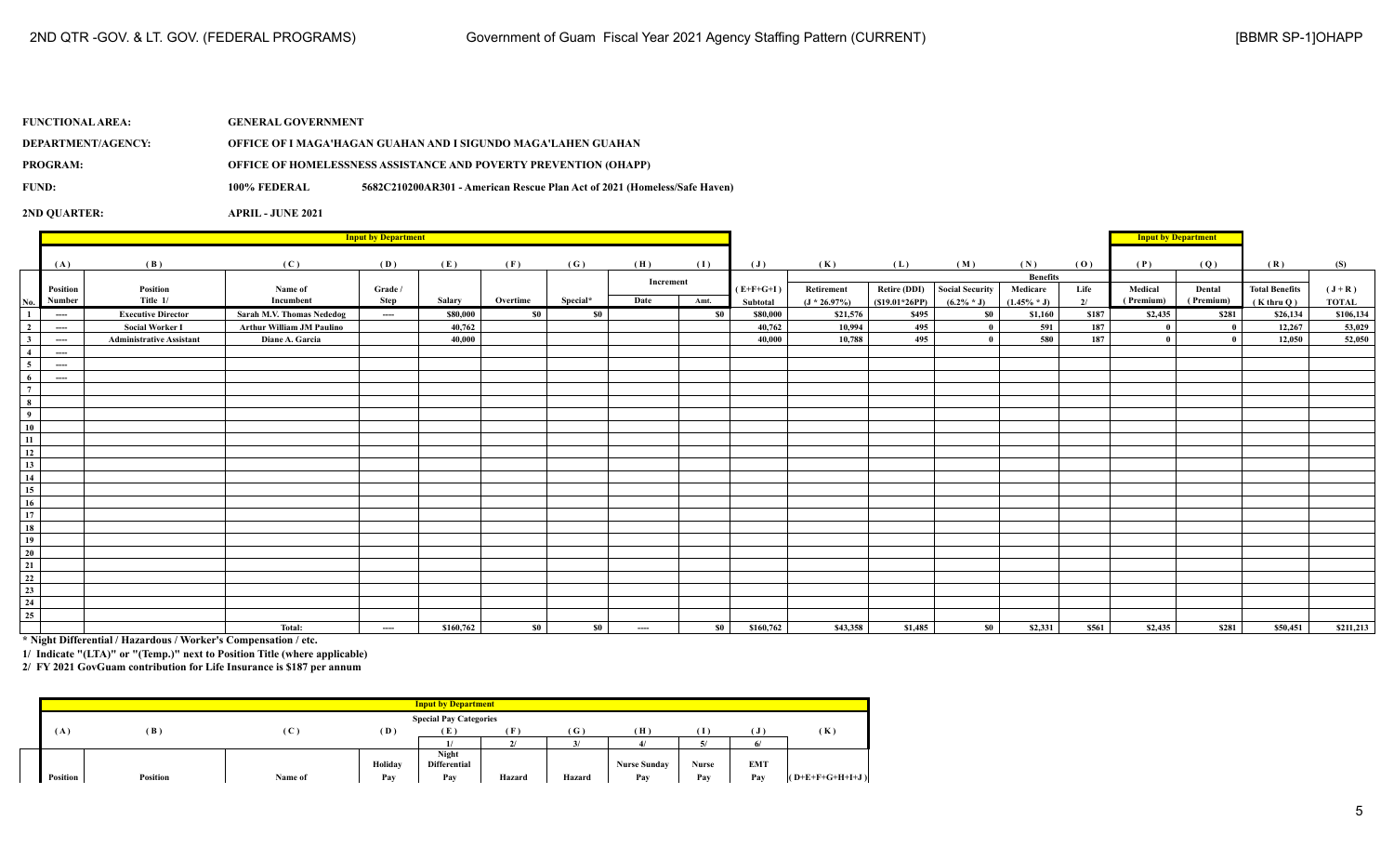| <b>FUNCTIONAL AREA:</b> | <b>GENERAL GOVERNMENT</b> |                                                                           |
|-------------------------|---------------------------|---------------------------------------------------------------------------|
| DEPARTMENT/AGENCY:      |                           | OFFICE OF I MAGA'HAGAN GUAHAN AND I SIGUNDO MAGA'LAHEN GUAHAN             |
| <b>PROGRAM:</b>         |                           | <b>OFFICE OF HOMELESSNESS ASSISTANCE AND POVERTY PREVENTION (OHAPP)</b>   |
| FUND:                   | 100% FEDERAL              | 5682C210200AR301 - American Rescue Plan Act of 2021 (Homeless/Safe Haven) |
|                         |                           |                                                                           |

|                                       |          | <b>Input by Department</b>      |                                  |          |           |          |          |           |           |                |                |                     |                 |                        |       | <b>Input by Department</b> |              |                       |              |
|---------------------------------------|----------|---------------------------------|----------------------------------|----------|-----------|----------|----------|-----------|-----------|----------------|----------------|---------------------|-----------------|------------------------|-------|----------------------------|--------------|-----------------------|--------------|
|                                       |          |                                 |                                  |          |           |          |          |           |           |                |                |                     |                 |                        |       |                            |              |                       |              |
|                                       | (A)      | (B)                             | (C)                              | (D)      | (E)       | (F)      | (G)      | (H)       | (I)       | $(\mathbf{J})$ | (K)            | (L)                 | (M)             | (N)<br><b>Benefits</b> | (0)   | (P)                        | (Q)          | (R)                   | (S)          |
|                                       | Position | Position                        | Name of                          | Grade /  |           |          |          | Increment |           | $(E+F+G+I)$    | Retirement     | <b>Retire (DDI)</b> | Social Security | Medicare               | Life  | Medical                    | Dental       | <b>Total Benefits</b> | $(J+R)$      |
| No.                                   | Number   | Title 1/                        | Incumbent                        | Step     | Salary    | Overtime | Special* | Date      | Amt.      | Subtotal       | $(J * 26.97%)$ | $(S19.01*26PP)$     | $(6.2\% * J)$   | $(1.45\% * J)$         | 2/    | (Premium)                  | (Premium)    | $(K$ thru $Q)$        | <b>TOTAL</b> |
| 1                                     | $\cdots$ | <b>Executive Director</b>       | Sarah M.V. Thomas Nededog        | $\cdots$ | \$80,000  | -so-l    | \$0      |           | <b>SO</b> | \$80,000       | \$21,576       | \$495               | <b>SO</b>       | \$1,160                | \$187 | \$2,435                    | \$281        | \$26,134              | \$106,134    |
| $\overline{2}$                        | $\cdots$ | <b>Social Worker I</b>          | <b>Arthur William JM Paulino</b> |          | 40,762    |          |          |           |           | 40,762         | 10,994         | 495                 |                 | 591                    | 187   |                            | $\mathbf{0}$ | 12,267                | 53,029       |
| 3 <sup>1</sup>                        | $\cdots$ | <b>Administrative Assistant</b> | Diane A. Garcia                  |          | 40,000    |          |          |           |           | 40.000         | 10,788         | 495                 |                 | 580                    | 187   |                            | $\mathbf{0}$ | 12,050                | 52,050       |
| $\overline{4}$                        | $---$    |                                 |                                  |          |           |          |          |           |           |                |                |                     |                 |                        |       |                            |              |                       |              |
| 5 <sub>5</sub>                        | $\cdots$ |                                 |                                  |          |           |          |          |           |           |                |                |                     |                 |                        |       |                            |              |                       |              |
| 6                                     | $\cdots$ |                                 |                                  |          |           |          |          |           |           |                |                |                     |                 |                        |       |                            |              |                       |              |
| $\overline{7}$                        |          |                                 |                                  |          |           |          |          |           |           |                |                |                     |                 |                        |       |                            |              |                       |              |
| $\begin{array}{c} 8 \\ 9 \end{array}$ |          |                                 |                                  |          |           |          |          |           |           |                |                |                     |                 |                        |       |                            |              |                       |              |
|                                       |          |                                 |                                  |          |           |          |          |           |           |                |                |                     |                 |                        |       |                            |              |                       |              |
| $\overline{10}$                       |          |                                 |                                  |          |           |          |          |           |           |                |                |                     |                 |                        |       |                            |              |                       |              |
| $\overline{11}$                       |          |                                 |                                  |          |           |          |          |           |           |                |                |                     |                 |                        |       |                            |              |                       |              |
| $\overline{12}$                       |          |                                 |                                  |          |           |          |          |           |           |                |                |                     |                 |                        |       |                            |              |                       |              |
| $\overline{13}$                       |          |                                 |                                  |          |           |          |          |           |           |                |                |                     |                 |                        |       |                            |              |                       |              |
| $\overline{14}$                       |          |                                 |                                  |          |           |          |          |           |           |                |                |                     |                 |                        |       |                            |              |                       |              |
| $\overline{15}$<br>16                 |          |                                 |                                  |          |           |          |          |           |           |                |                |                     |                 |                        |       |                            |              |                       |              |
| $\overline{17}$                       |          |                                 |                                  |          |           |          |          |           |           |                |                |                     |                 |                        |       |                            |              |                       |              |
| $\overline{18}$                       |          |                                 |                                  |          |           |          |          |           |           |                |                |                     |                 |                        |       |                            |              |                       |              |
| $\frac{1}{19}$                        |          |                                 |                                  |          |           |          |          |           |           |                |                |                     |                 |                        |       |                            |              |                       |              |
| $\overline{20}$                       |          |                                 |                                  |          |           |          |          |           |           |                |                |                     |                 |                        |       |                            |              |                       |              |
| 21                                    |          |                                 |                                  |          |           |          |          |           |           |                |                |                     |                 |                        |       |                            |              |                       |              |
| $\frac{22}{2}$                        |          |                                 |                                  |          |           |          |          |           |           |                |                |                     |                 |                        |       |                            |              |                       |              |
| $\overline{23}$                       |          |                                 |                                  |          |           |          |          |           |           |                |                |                     |                 |                        |       |                            |              |                       |              |
| $\overline{24}$                       |          |                                 |                                  |          |           |          |          |           |           |                |                |                     |                 |                        |       |                            |              |                       |              |
| $\overline{25}$                       |          |                                 |                                  |          |           |          |          |           |           |                |                |                     |                 |                        |       |                            |              |                       |              |
|                                       |          |                                 | Total:                           | $---$    | \$160,762 | \$0      | \$0      | $\cdots$  | - so 1    | \$160,762      | \$43,358       | \$1,485             | \$0             | \$2,331                | \$561 | \$2,435                    | \$281        | \$50,451              | \$211,213    |

**\* Night Differential / Hazardous / Worker's Compensation / etc.**

**1/ Indicate "(LTA)" or "(Temp.)" next to Position Title (where applicable)**

|          |                 |              |         | <b>Input by Department</b>    |        |        |                     |       |            |                   |
|----------|-----------------|--------------|---------|-------------------------------|--------|--------|---------------------|-------|------------|-------------------|
|          |                 |              |         | <b>Special Pay Categories</b> |        |        |                     |       |            |                   |
| ( A      | (B)             | $\mathbf{C}$ | (D)     | - 12 -                        | ſF.    | (G)    | (H)                 | Т     |            | (K)               |
|          |                 |              |         |                               |        |        |                     |       | 6          |                   |
|          |                 |              |         | Night                         |        |        |                     |       |            |                   |
|          |                 |              | Holiday | <b>Differential</b>           |        |        | <b>Nurse Sunday</b> | Nurse | <b>EMT</b> |                   |
| Position | <b>Position</b> | Name of      | Pay     | Pay                           | Hazard | Hazard | Pay                 | Pav   | Pay        | $(O+E+F+G+H+I+J)$ |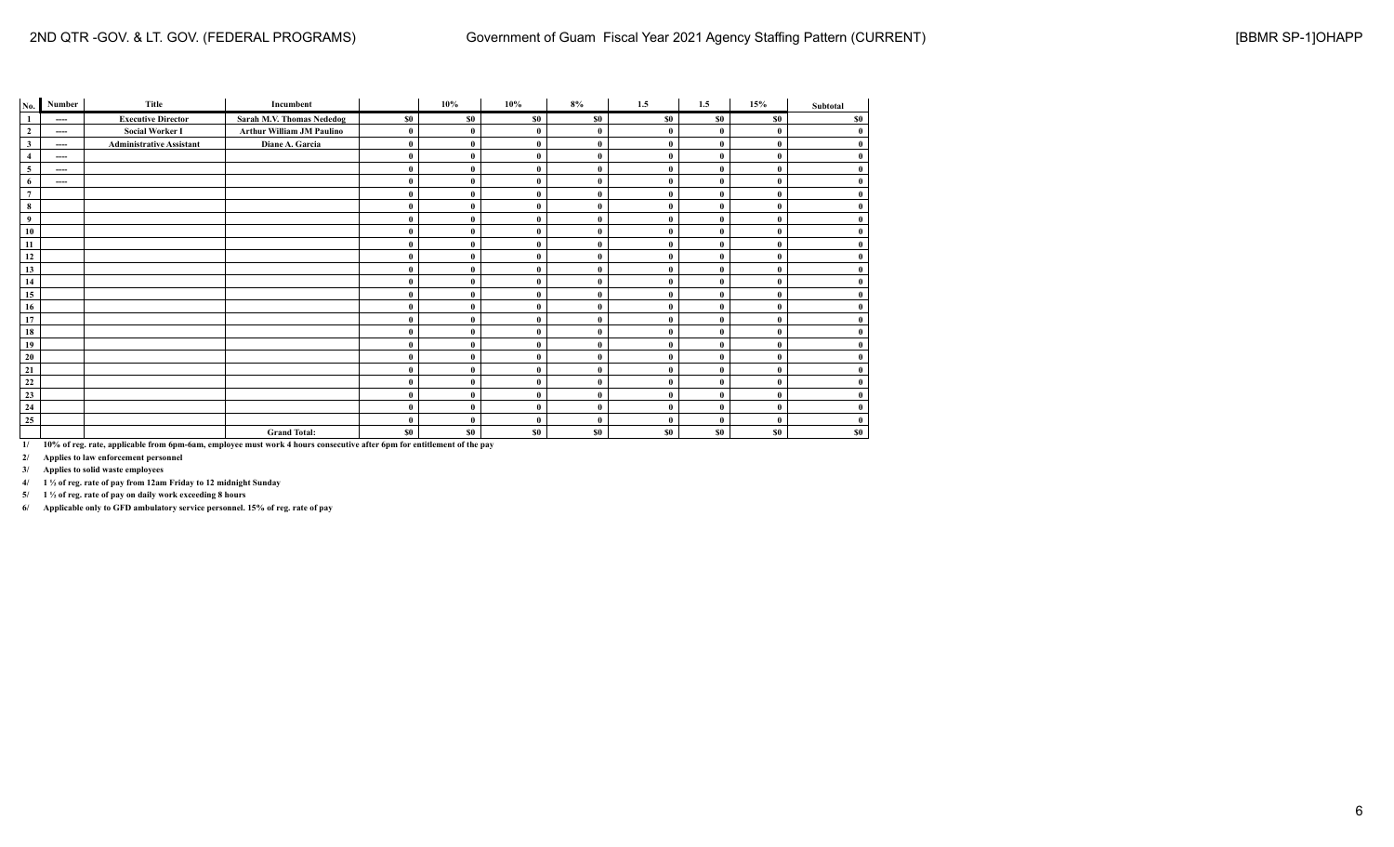| No.            | Number                 | Title                           | Incumbent                        |          | 10%      | $10\%$       | 8%           | 1.5          | 1.5          | 15%          | Subtotal |
|----------------|------------------------|---------------------------------|----------------------------------|----------|----------|--------------|--------------|--------------|--------------|--------------|----------|
| $\mathbf{1}$   | ----                   | <b>Executive Director</b>       | Sarah M.V. Thomas Nededog        | \$0      | \$0      | \$0          | \$0          | \$0          | \$0          | \$0          | \$0      |
| $\mathbf{2}$   | $\qquad \qquad \cdots$ | <b>Social Worker I</b>          | <b>Arthur William JM Paulino</b> | $\bf{0}$ | $\bf{0}$ | 0            | $\bf{0}$     | $\mathbf 0$  | 0            | $\mathbf{0}$ | $\bf{0}$ |
| $\mathbf{3}$   | ----                   | <b>Administrative Assistant</b> | Diane A. Garcia                  | $\bf{0}$ | $\bf{0}$ | $\mathbf{0}$ | $\mathbf{0}$ | $\theta$     | $\bf{0}$     | $\bf{0}$     | $\bf{0}$ |
| $\overline{4}$ | ----                   |                                 |                                  | $\bf{0}$ | $\bf{0}$ | $\mathbf{0}$ | $\mathbf{0}$ | $\mathbf 0$  | $\mathbf{0}$ | $\mathbf{0}$ | $\bf{0}$ |
| 5              | ----                   |                                 |                                  | $\bf{0}$ | $\bf{0}$ | 0            | $\bf{0}$     | $\mathbf{0}$ | $\bf{0}$     | $\bf{0}$     | $\bf{0}$ |
| 6              | $---$                  |                                 |                                  | $\bf{0}$ | $\bf{0}$ | 0            | $\mathbf{0}$ | $\theta$     | 0            | $\mathbf{0}$ | $\bf{0}$ |
| $\overline{7}$ |                        |                                 |                                  | $\bf{0}$ | $\bf{0}$ | $\mathbf{0}$ | $\mathbf{0}$ | $\mathbf 0$  | $\mathbf{0}$ | $\bf{0}$     | $\bf{0}$ |
| 8              |                        |                                 |                                  | $\bf{0}$ | $\bf{0}$ | 0            | $\theta$     | $\bf{0}$     | $\bf{0}$     | $\bf{0}$     | $\bf{0}$ |
| $\overline{9}$ |                        |                                 |                                  | $\bf{0}$ | $\bf{0}$ | 0            | $\bf{0}$     | $\theta$     | $\mathbf{0}$ | $\mathbf{0}$ | $\bf{0}$ |
| 10             |                        |                                 |                                  | $\bf{0}$ | $\bf{0}$ | $\mathbf{0}$ | $\mathbf{0}$ | $\theta$     | $\bf{0}$     | $\mathbf{0}$ | $\bf{0}$ |
| 11             |                        |                                 |                                  | $\bf{0}$ | $\bf{0}$ | 0            | $\mathbf{0}$ | $\theta$     | $\bf{0}$     | $\mathbf{0}$ | $\bf{0}$ |
| 12             |                        |                                 |                                  | $\bf{0}$ | $\bf{0}$ | $\mathbf{0}$ | $\mathbf{0}$ | $\mathbf{0}$ | $\bf{0}$     | $\bf{0}$     | $\bf{0}$ |
| 13             |                        |                                 |                                  | $\bf{0}$ | $\bf{0}$ | $\mathbf{0}$ | $\bf{0}$     | $\mathbf 0$  | 0            | $\mathbf{0}$ | $\bf{0}$ |
| 14             |                        |                                 |                                  | $\bf{0}$ | $\bf{0}$ | $\mathbf{0}$ | $\mathbf{0}$ | $\theta$     | $\bf{0}$     | $\bf{0}$     | $\bf{0}$ |
| 15             |                        |                                 |                                  | $\bf{0}$ | $\bf{0}$ | 0            | $\theta$     | $\theta$     | $\mathbf{0}$ | $\mathbf{0}$ | $\bf{0}$ |
| 16             |                        |                                 |                                  | $\bf{0}$ | $\bf{0}$ | $\mathbf{0}$ | $\mathbf{0}$ | $\mathbf{0}$ | $\bf{0}$     | $\mathbf{0}$ | $\bf{0}$ |
| 17             |                        |                                 |                                  | $\bf{0}$ | $\bf{0}$ | $\mathbf{0}$ | $\mathbf{0}$ | $\theta$     | $\bf{0}$     | $\mathbf{0}$ | $\bf{0}$ |
| 18             |                        |                                 |                                  | $\bf{0}$ | $\theta$ | $\theta$     | $\mathbf{0}$ | $\mathbf 0$  | $\mathbf{0}$ | $\mathbf{0}$ | $\bf{0}$ |
| 19             |                        |                                 |                                  | $\bf{0}$ | $\bf{0}$ | 0            | $\theta$     | $\bf{0}$     | $\bf{0}$     | $\bf{0}$     | $\bf{0}$ |
| 20             |                        |                                 |                                  | $\bf{0}$ | $\bf{0}$ | $\mathbf{0}$ | $\mathbf{0}$ | $\theta$     | $\bf{0}$     | $\mathbf{0}$ | $\bf{0}$ |
| 21             |                        |                                 |                                  | $\bf{0}$ | $\bf{0}$ | $\mathbf{0}$ | $\mathbf{0}$ | $\theta$     | $\bf{0}$     | $\mathbf{0}$ | $\bf{0}$ |
| 22             |                        |                                 |                                  | $\bf{0}$ | $\bf{0}$ | $\theta$     | $\mathbf{0}$ | $\mathbf{0}$ | $\bf{0}$     | $\mathbf{0}$ | $\bf{0}$ |
| 23             |                        |                                 |                                  | $\bf{0}$ | $\bf{0}$ | $\mathbf{0}$ | $\mathbf{0}$ | $\theta$     | $\bf{0}$     | $\mathbf{0}$ | $\bf{0}$ |
| 24             |                        |                                 |                                  | $\bf{0}$ | $\bf{0}$ | $\mathbf{0}$ | $\bf{0}$     | $\theta$     | $\bf{0}$     | $\bf{0}$     | $\bf{0}$ |
| 25             |                        |                                 |                                  | $\bf{0}$ | $\theta$ | 0            | $\theta$     | $\theta$     | $\mathbf{0}$ | $\bf{0}$     | $\bf{0}$ |
|                |                        |                                 | <b>Grand Total:</b>              | \$0      | \$0      | \$0          | \$0          | \$0          | \$0          | \$0          | \$0      |

**2/ Applies to law enforcement personnel**

**3/ Applies to solid waste employees**

**4/ 1 ½ of reg. rate of pay from 12am Friday to 12 midnight Sunday**

**5/ 1 ½ of reg. rate of pay on daily work exceeding 8 hours**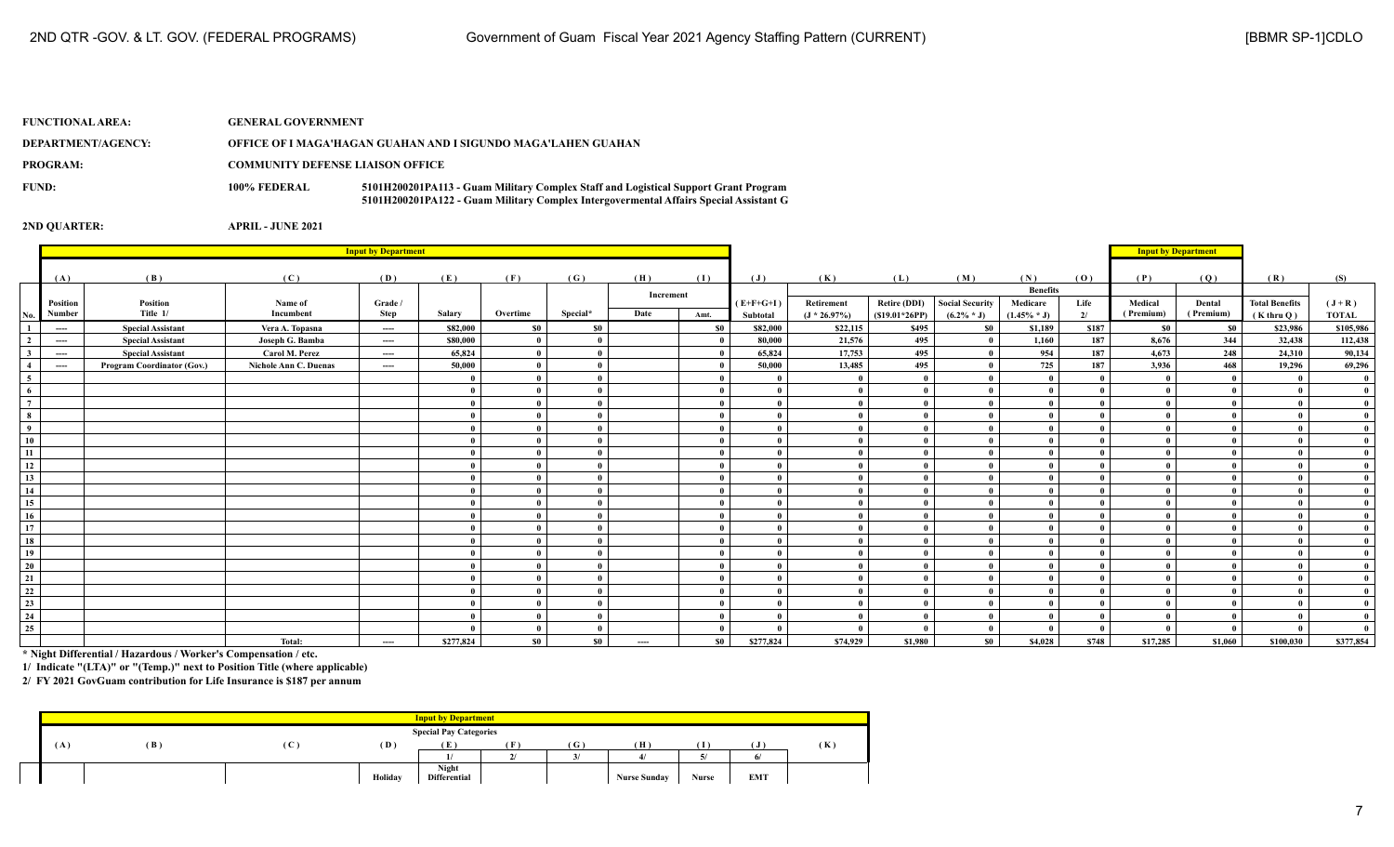| <b>FUNCTIONAL AREA:</b> | <b>GENERAL GOVERNMENT</b>               |                                                                                                                                                                              |
|-------------------------|-----------------------------------------|------------------------------------------------------------------------------------------------------------------------------------------------------------------------------|
| DEPARTMENT/AGENCY:      |                                         | OFFICE OF I MAGA'HAGAN GUAHAN AND I SIGUNDO MAGA'LAHEN GUAHAN                                                                                                                |
| <b>PROGRAM:</b>         | <b>COMMUNITY DEFENSE LIAISON OFFICE</b> |                                                                                                                                                                              |
| FUND:                   | 100% FEDERAL                            | 5101H200201PA113 - Guam Military Complex Staff and Logistical Support Grant Program<br>5101H200201PA122 - Guam Military Complex Intergovermental Affairs Special Assistant G |

|                          | <b>Input by Department</b>                                   |                            |                       |          |              |                |          |           |           |                          |                          |                     |                        | <b>Input by Department</b> |       |              |              |                       |              |
|--------------------------|--------------------------------------------------------------|----------------------------|-----------------------|----------|--------------|----------------|----------|-----------|-----------|--------------------------|--------------------------|---------------------|------------------------|----------------------------|-------|--------------|--------------|-----------------------|--------------|
|                          |                                                              |                            | (C)                   |          |              |                |          |           | (1)       |                          |                          |                     |                        | (N)                        |       |              |              | (R)                   |              |
|                          | (A)                                                          | (B)                        |                       | (D)      | (E)          | (F)            | (G)      | (H)       |           | (J)                      | (K)                      | (L)                 | (M)                    | <b>Benefits</b>            | (0)   | (P)          | (Q)          |                       | (S)          |
|                          | Position                                                     | Position                   | Name of               | Grade /  |              |                |          | Increment |           | $(E+F+G+I)$              | Retirement               | <b>Retire (DDI)</b> | <b>Social Security</b> | Medicare                   | Life  | Medical      | Dental       | <b>Total Benefits</b> | $(J+R)$      |
| No.                      | Number                                                       | Title 1/                   | Incumbent             | Step     | Salary       | Overtime       | Special* | Date      | Amt.      | Subtotal                 | $(J * 26.97%)$           | $(S19.01*26PP)$     | $(6.2\% * J)$          | $(1.45\% * J)$             | 2/    | (Premium)    | (Premium)    | $(K$ thru $O)$        | <b>TOTAL</b> |
| -1                       | $-\!-\!$                                                     | <b>Special Assistant</b>   | Vera A. Topasna       | $\cdots$ | \$82,000     | S <sub>0</sub> | \$0      |           | <b>SO</b> | \$82,000                 | \$22,115                 | \$495               | \$0                    | \$1,189                    | \$187 | $\$0$        | \$0          | \$23,986              | \$105,986    |
| $\overline{2}$           | $\cdots$                                                     | <b>Special Assistant</b>   | Joseph G. Bamba       | $\cdots$ | \$80,000     |                |          |           |           | 80,000                   | 21,576                   | 495                 |                        | 1,160                      | 187   | 8.676        | 344          | 32,438                | 112,438      |
| $\overline{\mathbf{3}}$  | $\cdots$                                                     | <b>Special Assistant</b>   | Carol M. Perez        | ----     | 65,824       |                |          |           |           | 65,824                   | 17,753                   | 495                 |                        | 954                        | 187   | 4.673        | 248          | 24,310                | 90,134       |
| $\overline{4}$           | $\hspace{0.1em} \ldots \hspace{0.1em} \ldots \hspace{0.1em}$ | Program Coordinator (Gov.) | Nichole Ann C. Duenas | ----     | 50,000       | $\theta$       |          |           |           | 50,000                   | 13,485                   | 495                 |                        | 725                        | 187   | 3,936        | 468          | 19,296                | 69,296       |
| $\overline{\phantom{0}}$ |                                                              |                            |                       |          |              |                |          |           |           |                          |                          | $\mathbf{u}$        |                        | $\mathbf{a}$               |       |              | $\mathbf{0}$ |                       |              |
| $\frac{6}{7}$            |                                                              |                            |                       |          |              |                |          |           |           | $\theta$                 | $\mathbf{0}$             | $\mathbf{a}$        |                        | $\theta$                   |       |              |              |                       | $\theta$     |
|                          |                                                              |                            |                       |          |              |                |          |           |           | $\theta$                 | - 0                      | $\mathbf{a}$        |                        | $\mathbf{a}$               |       |              |              |                       |              |
| $\bf{8}$                 |                                                              |                            |                       |          |              |                |          |           |           | $\theta$                 |                          | $\mathbf{u}$        |                        |                            |       |              |              |                       |              |
| $\overline{9}$           |                                                              |                            |                       |          |              |                |          |           |           | $\theta$                 |                          | $\mathbf{a}$        |                        |                            |       |              |              |                       |              |
| 10                       |                                                              |                            |                       |          | $\mathbf{0}$ |                |          |           |           | $\theta$                 | $\theta$                 | $\theta$            |                        | $\mathbf{0}$               |       | $\theta$     | $\theta$     |                       |              |
| 11                       |                                                              |                            |                       |          |              |                |          |           |           | $\theta$                 | $\theta$                 | $\theta$            |                        | $\mathbf{0}$               |       | $\sqrt{ }$   | $\theta$     |                       |              |
| 12                       |                                                              |                            |                       |          |              |                |          |           |           | $\theta$                 | $\mathbf{0}$             | $\mathbf{0}$        |                        | $\mathbf{0}$               |       | $\mathbf{0}$ |              |                       |              |
| 13                       |                                                              |                            |                       |          | -0           |                |          |           |           | $\theta$                 | $\mathbf{0}$             | - 0                 |                        | $\mathbf{0}$               |       |              |              |                       |              |
| 14                       |                                                              |                            |                       |          |              |                |          |           |           | $\theta$                 | $\theta$                 | $\mathbf{u}$        |                        | $\mathbf{a}$               |       |              |              |                       |              |
| 15                       |                                                              |                            |                       |          | $\mathbf{0}$ |                |          |           |           | $\theta$                 | $\theta$                 | $\mathbf{0}$        |                        | $\mathbf{a}$               |       | $\theta$     |              |                       |              |
| 16                       |                                                              |                            |                       |          | $\mathbf{0}$ |                |          |           |           | $\theta$                 | $\theta$                 | $\mathbf{a}$        |                        | $\theta$                   |       |              |              |                       |              |
| 17                       |                                                              |                            |                       |          | $\theta$     |                |          |           |           | $\theta$                 | $\theta$                 | $\mathbf{a}$        |                        | $\mathbf{a}$               |       |              |              |                       |              |
| 18                       |                                                              |                            |                       |          |              |                |          |           |           | $\theta$                 | $\mathbf{0}$             |                     |                        | $\theta$                   |       |              |              |                       |              |
| 19                       |                                                              |                            |                       |          |              |                |          |           |           | $\theta$                 |                          |                     |                        |                            |       |              |              |                       |              |
| 20                       |                                                              |                            |                       |          | $\mathbf{0}$ |                |          |           |           | $\theta$                 | $\theta$                 | $\mathbf{a}$        |                        | $\mathbf{0}$               |       |              | $\theta$     |                       |              |
| 21                       |                                                              |                            |                       |          |              |                |          |           |           | $\theta$                 | $\mathbf{0}$             | $\theta$            |                        | $\theta$                   |       | $\mathbf{0}$ |              |                       |              |
| $\frac{22}{2}$           |                                                              |                            |                       |          |              |                |          |           |           | $\theta$                 | $\mathbf{0}$             | $\mathbf{0}$        |                        | $\theta$                   |       |              |              |                       |              |
| $\frac{23}{2}$           |                                                              |                            |                       |          | -0           |                |          |           |           | $\mathbf{0}$<br>$\theta$ | $\mathbf{0}$<br>$\theta$ |                     |                        | $\mathbf{0}$               |       |              |              |                       |              |
| 24                       |                                                              |                            |                       |          | $\theta$     | $\theta$       |          |           |           |                          |                          |                     |                        | $\theta$                   |       |              | $\theta$     |                       |              |
| 25                       |                                                              |                            |                       |          |              |                |          |           |           |                          |                          |                     |                        | $\theta$                   |       |              |              |                       |              |
|                          |                                                              |                            | Total:                | ----     | \$277,824    | S <sub>0</sub> | \$0      | ----      | \$0       | \$277,824                | \$74,929                 | \$1,980             | S <sub>0</sub>         | \$4,028                    | \$748 | \$17,285     | \$1,060      | \$100,030             | \$377,854    |

**\* Night Differential / Hazardous / Worker's Compensation / etc.**

**1/ Indicate "(LTA)" or "(Temp.)" next to Position Title (where applicable)**

| <b>Input by Department</b> |     |              |         |                               |        |       |                     |              |            |     |  |
|----------------------------|-----|--------------|---------|-------------------------------|--------|-------|---------------------|--------------|------------|-----|--|
|                            |     |              |         | <b>Special Pay Categories</b> |        |       |                     |              |            |     |  |
| ( A                        | (B) | $\mathbf{C}$ | (D)     | (E                            |        | ( G ) | (H)                 |              | 'J         | (K) |  |
|                            |     |              |         |                               | $\sim$ |       | $\overline{A}$      |              |            |     |  |
|                            |     |              |         | Night                         |        |       |                     |              |            |     |  |
|                            |     |              | Holiday | <b>Differential</b>           |        |       | <b>Nurse Sunday</b> | <b>Nurse</b> | <b>EMT</b> |     |  |